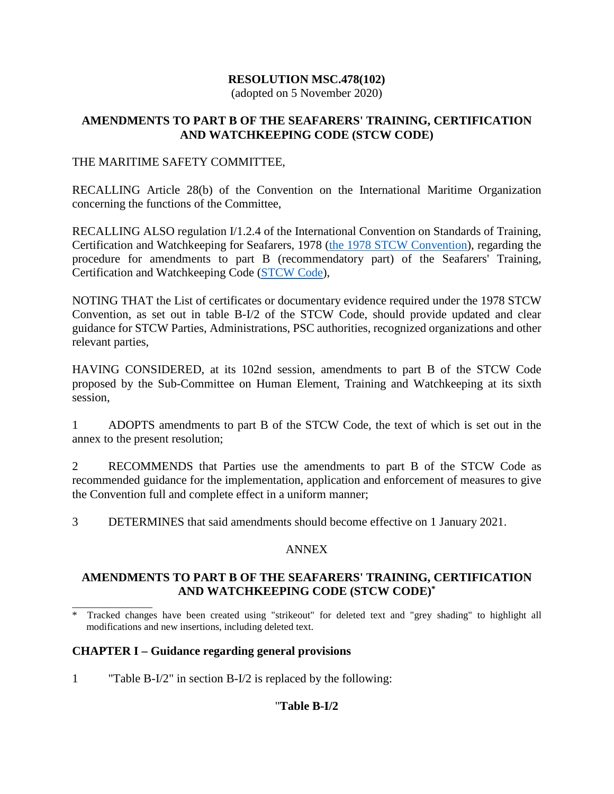## **RESOLUTION MSC.478(102)**

(adopted on 5 November 2020)

#### **AMENDMENTS TO PART B OF THE SEAFARERS' TRAINING, CERTIFICATION AND WATCHKEEPING CODE (STCW CODE)**

#### THE MARITIME SAFETY COMMITTEE,

RECALLING Article 28(b) of the Convention on the International Maritime Organization concerning the functions of the Committee,

RECALLING ALSO regulation I/1.2.4 of the International Convention on Standards of Training, Certification and Watchkeeping for Seafarers, 1978 [\(the 1978 STCW Convention\)](http://rise.odessa.ua/texts/PDNV_2010e.php3), regarding the procedure for amendments to part B (recommendatory part) of the Seafarers' Training, Certification and Watchkeeping Code [\(STCW Code\)](http://rise.odessa.ua/texts/Kodeks_PDNV_2010e.php3),

NOTING THAT the List of certificates or documentary evidence required under the 1978 STCW Convention, as set out in table B-I/2 of the STCW Code, should provide updated and clear guidance for STCW Parties, Administrations, PSC authorities, recognized organizations and other relevant parties,

HAVING CONSIDERED, at its 102nd session, amendments to part B of the STCW Code proposed by the Sub-Committee on Human Element, Training and Watchkeeping at its sixth session,

1 ADOPTS amendments to part B of the STCW Code, the text of which is set out in the annex to the present resolution;

2 RECOMMENDS that Parties use the amendments to part B of the STCW Code as recommended guidance for the implementation, application and enforcement of measures to give the Convention full and complete effect in a uniform manner;

3 DETERMINES that said amendments should become effective on 1 January 2021.

## ANNEX

## **AMENDMENTS TO PART B OF THE SEAFARERS' TRAINING, CERTIFICATION AND WATCHKEEPING CODE (STCW CODE)\***

## **CHAPTER I – Guidance regarding general provisions**

1 "Table B-I/2" in section B-I/2 is replaced by the following:

## "**Table B-I/2**

\_\_\_\_\_\_\_\_\_\_\_\_\_\_\_\_ \* Tracked changes have been created using "strikeout" for deleted text and "grey shading" to highlight all modifications and new insertions, including deleted text.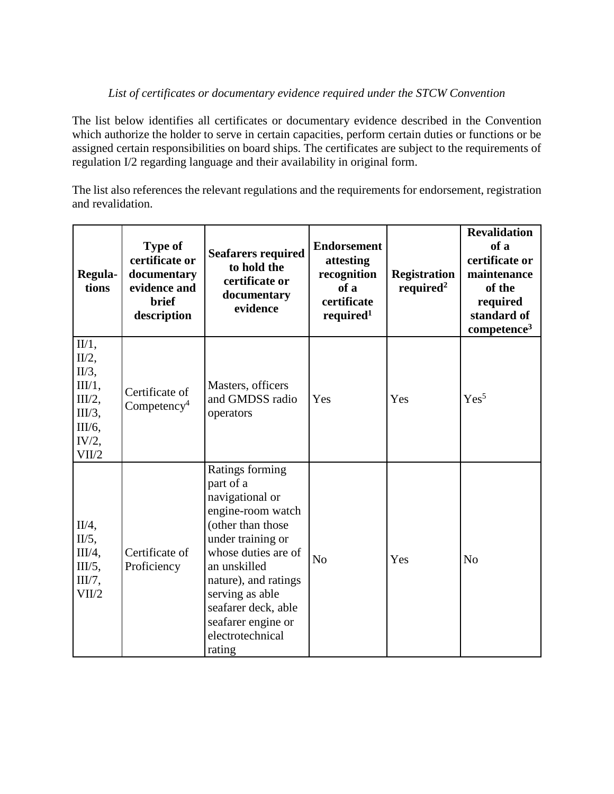# *List of certificates or documentary evidence required under the STCW Convention*

The list below identifies all certificates or documentary evidence described in the Convention which authorize the holder to serve in certain capacities, perform certain duties or functions or be assigned certain responsibilities on board ships. The certificates are subject to the requirements of regulation I/2 regarding language and their availability in original form.

The list also references the relevant regulations and the requirements for endorsement, registration and revalidation.

| Regula-<br>tions                                                                        | <b>Type of</b><br>certificate or<br>documentary<br>evidence and<br><b>brief</b><br>description | <b>Seafarers required</b><br>to hold the<br>certificate or<br>documentary<br>evidence                                                                                                                                                                                       | <b>Endorsement</b><br>attesting<br>recognition<br>of a<br>certificate<br>required <sup>1</sup> | <b>Registration</b><br>required <sup>2</sup> | <b>Revalidation</b><br>of a<br>certificate or<br>maintenance<br>of the<br>required<br>standard of<br>competence <sup>3</sup> |
|-----------------------------------------------------------------------------------------|------------------------------------------------------------------------------------------------|-----------------------------------------------------------------------------------------------------------------------------------------------------------------------------------------------------------------------------------------------------------------------------|------------------------------------------------------------------------------------------------|----------------------------------------------|------------------------------------------------------------------------------------------------------------------------------|
| II/1,<br>$II/2$ ,<br>$II/3$ ,<br>III/1,<br>III/2,<br>III/3,<br>III/6,<br>IV/2,<br>VII/2 | Certificate of<br>Competency <sup>4</sup>                                                      | Masters, officers<br>and GMDSS radio<br>operators                                                                                                                                                                                                                           | Yes                                                                                            | Yes                                          | Yes <sup>5</sup>                                                                                                             |
| $II/4$ ,<br>$II/5$ ,<br>III/4,<br>III/5,<br>III/7,<br>VII/2                             | Certificate of<br>Proficiency                                                                  | Ratings forming<br>part of a<br>navigational or<br>engine-room watch<br>(other than those<br>under training or<br>whose duties are of<br>an unskilled<br>nature), and ratings<br>serving as able<br>seafarer deck, able<br>seafarer engine or<br>electrotechnical<br>rating | N <sub>o</sub>                                                                                 | Yes                                          | N <sub>o</sub>                                                                                                               |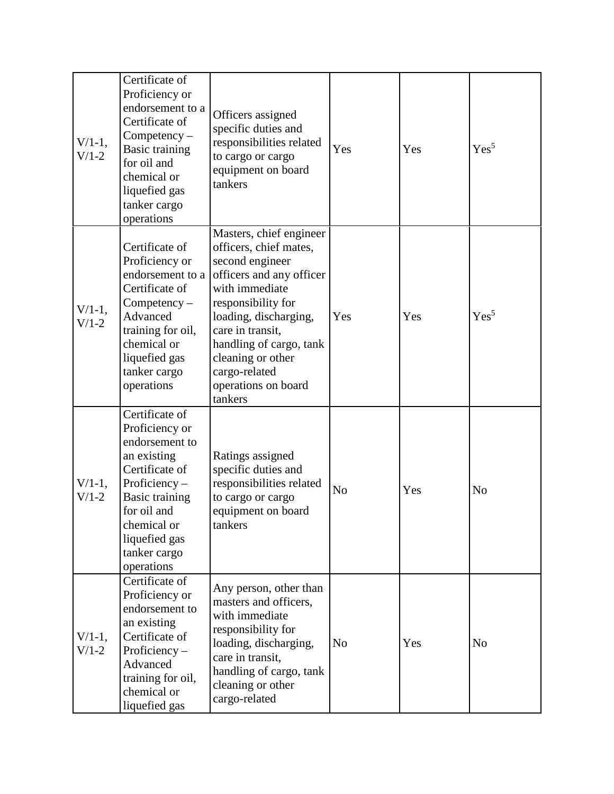| $V/1-1$ ,<br>$V/1-2$ | Certificate of<br>Proficiency or<br>endorsement to a<br>Certificate of<br>$Competency -$<br>Basic training<br>for oil and<br>chemical or<br>liquefied gas<br>tanker cargo<br>operations                   | Officers assigned<br>specific duties and<br>responsibilities related<br>to cargo or cargo<br>equipment on board<br>tankers                                                                                                                                                               | Yes            | Yes | Yes <sup>5</sup> |
|----------------------|-----------------------------------------------------------------------------------------------------------------------------------------------------------------------------------------------------------|------------------------------------------------------------------------------------------------------------------------------------------------------------------------------------------------------------------------------------------------------------------------------------------|----------------|-----|------------------|
| $V/1-1$ ,<br>$V/1-2$ | Certificate of<br>Proficiency or<br>endorsement to a<br>Certificate of<br>$Competency -$<br>Advanced<br>training for oil,<br>chemical or<br>liquefied gas<br>tanker cargo<br>operations                   | Masters, chief engineer<br>officers, chief mates,<br>second engineer<br>officers and any officer<br>with immediate<br>responsibility for<br>loading, discharging,<br>care in transit.<br>handling of cargo, tank<br>cleaning or other<br>cargo-related<br>operations on board<br>tankers | Yes            | Yes | Yes <sup>5</sup> |
| $V/1-1$ ,<br>$V/1-2$ | Certificate of<br>Proficiency or<br>endorsement to<br>an existing<br>Certificate of<br>Proficiency-<br><b>Basic training</b><br>for oil and<br>chemical or<br>liquefied gas<br>tanker cargo<br>operations | Ratings assigned<br>specific duties and<br>responsibilities related<br>to cargo or cargo<br>equipment on board<br>tankers                                                                                                                                                                | N <sub>o</sub> | Yes | N <sub>o</sub>   |
| $V/1-1$ ,<br>$V/1-2$ | Certificate of<br>Proficiency or<br>endorsement to<br>an existing<br>Certificate of<br>Proficiency $-$<br>Advanced<br>training for oil,<br>chemical or<br>liquefied gas                                   | Any person, other than<br>masters and officers,<br>with immediate<br>responsibility for<br>loading, discharging,<br>care in transit,<br>handling of cargo, tank<br>cleaning or other<br>cargo-related                                                                                    | N <sub>o</sub> | Yes | N <sub>o</sub>   |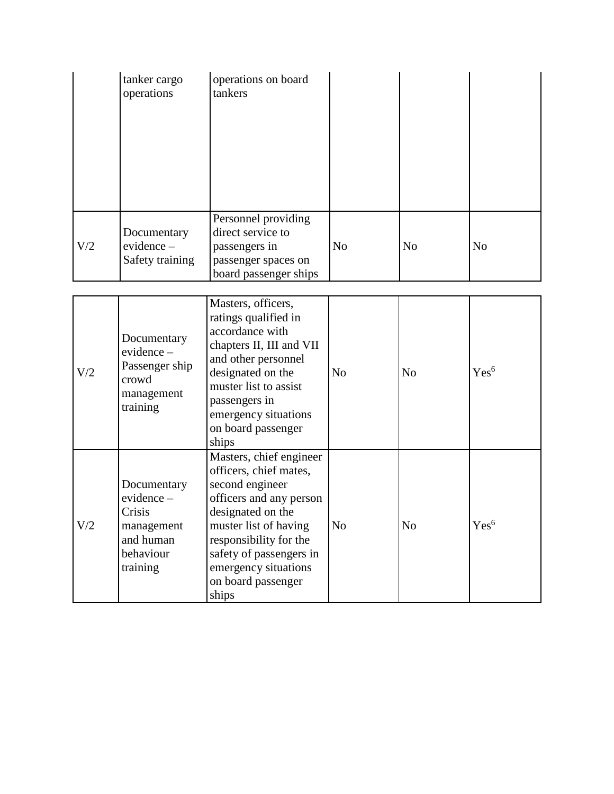|     | tanker cargo<br>operations                   | operations on board<br>tankers                                                                            |                |                |                |
|-----|----------------------------------------------|-----------------------------------------------------------------------------------------------------------|----------------|----------------|----------------|
| V/2 | Documentary<br>evidence -<br>Safety training | Personnel providing<br>direct service to<br>passengers in<br>passenger spaces on<br>board passenger ships | N <sub>o</sub> | N <sub>o</sub> | N <sub>o</sub> |

| V/2 | Documentary<br>$evidence -$<br>Passenger ship<br>crowd<br>management<br>training       | Masters, officers,<br>ratings qualified in<br>accordance with<br>chapters II, III and VII<br>and other personnel<br>designated on the<br>muster list to assist<br>passengers in<br>emergency situations<br>on board passenger<br>ships                    | N <sub>0</sub> | N <sub>o</sub> | Yes <sup>6</sup> |
|-----|----------------------------------------------------------------------------------------|-----------------------------------------------------------------------------------------------------------------------------------------------------------------------------------------------------------------------------------------------------------|----------------|----------------|------------------|
| V/2 | Documentary<br>evidence-<br>Crisis<br>management<br>and human<br>behaviour<br>training | Masters, chief engineer<br>officers, chief mates,<br>second engineer<br>officers and any person<br>designated on the<br>muster list of having<br>responsibility for the<br>safety of passengers in<br>emergency situations<br>on board passenger<br>ships | N <sub>o</sub> | N <sub>o</sub> | Yes <sup>6</sup> |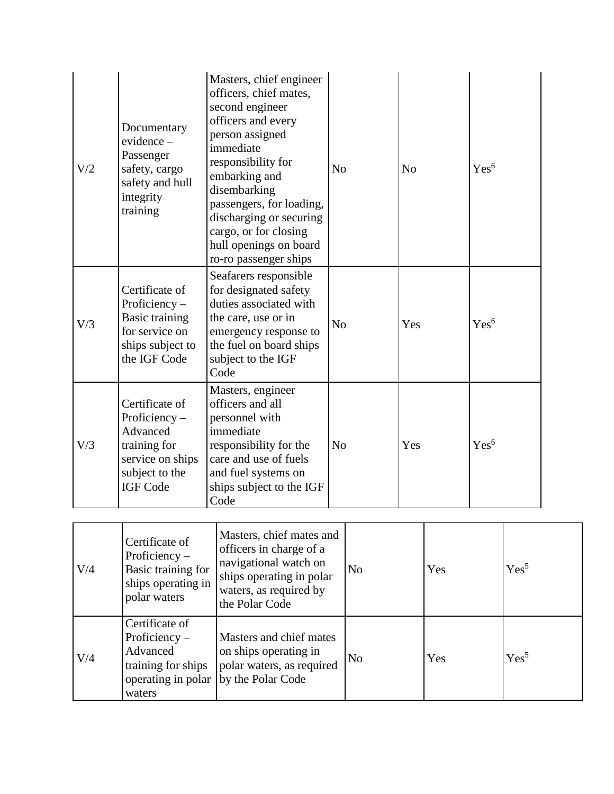| V/2 | Documentary<br>$evidence -$<br>Passenger<br>safety, cargo<br>safety and hull<br>integrity<br>training                  | Masters, chief engineer<br>officers, chief mates,<br>second engineer<br>officers and every<br>person assigned<br>immediate<br>responsibility for<br>embarking and<br>disembarking<br>passengers, for loading,<br>discharging or securing<br>cargo, or for closing<br>hull openings on board<br>ro-ro passenger ships | N <sub>o</sub> |                | N <sub>o</sub> |     | Yes <sup>6</sup> |                  |  |
|-----|------------------------------------------------------------------------------------------------------------------------|----------------------------------------------------------------------------------------------------------------------------------------------------------------------------------------------------------------------------------------------------------------------------------------------------------------------|----------------|----------------|----------------|-----|------------------|------------------|--|
| V/3 | Certificate of<br>Proficiency $-$<br><b>Basic training</b><br>for service on<br>ships subject to<br>the IGF Code       | Seafarers responsible<br>for designated safety<br>duties associated with<br>the care, use or in<br>emergency response to<br>the fuel on board ships<br>subject to the IGF<br>Code                                                                                                                                    | N <sub>o</sub> |                | Yes            |     | Yes <sup>6</sup> |                  |  |
| V/3 | Certificate of<br>Proficiency $-$<br>Advanced<br>training for<br>service on ships<br>subject to the<br><b>IGF Code</b> | Masters, engineer<br>officers and all<br>personnel with<br>immediate<br>responsibility for the<br>care and use of fuels<br>and fuel systems on<br>ships subject to the IGF<br>Code                                                                                                                                   | N <sub>o</sub> |                | Yes            |     | Yes <sup>6</sup> |                  |  |
| V/4 | Certificate of<br>Proficiency-<br>Basic training for<br>ships operating in<br>polar waters                             | Masters, chief mates and<br>officers in charge of a<br>navigational watch on<br>ships operating in polar<br>waters, as required by<br>the Polar Code                                                                                                                                                                 |                | N <sub>o</sub> |                | Yes |                  | Yes <sup>5</sup> |  |
| V/4 | Certificate of<br>Proficiency $-$<br>Advanced<br>training for ships                                                    | Masters and chief mates<br>on ships operating in<br>polar waters, as required<br>operating in polar   by the Polar Code                                                                                                                                                                                              |                | N <sub>o</sub> |                | Yes |                  | Yes <sup>5</sup> |  |

waters